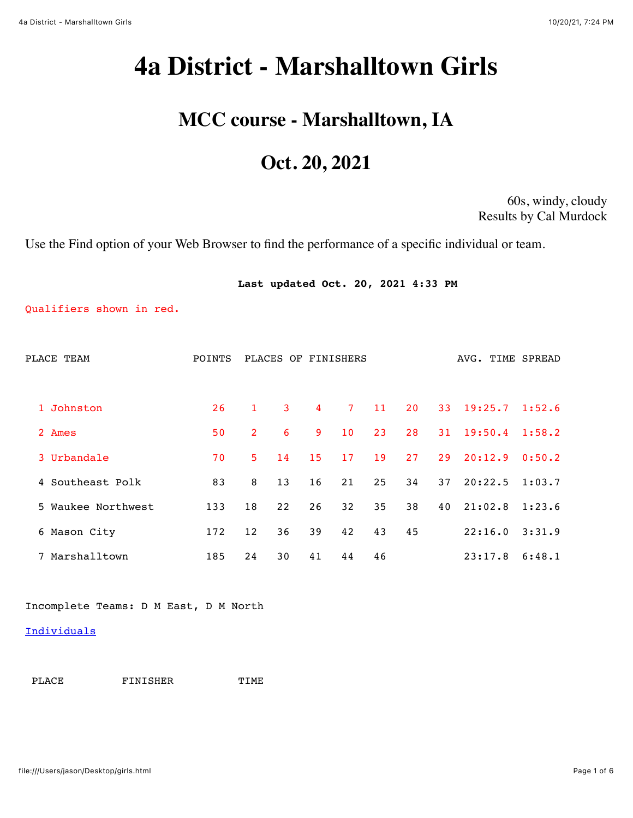# <span id="page-0-0"></span>**4a District - Marshalltown Girls**

# **MCC course - Marshalltown, IA**

# **Oct. 20, 2021**

60s, windy, cloudy Results by Cal Murdock

Use the Find option of your Web Browser to find the performance of a specific individual or team.

|                          |        |                | Last updated Oct. 20, 2021 4:33 PM |                |                |    |    |    |                  |        |
|--------------------------|--------|----------------|------------------------------------|----------------|----------------|----|----|----|------------------|--------|
| Qualifiers shown in red. |        |                |                                    |                |                |    |    |    |                  |        |
| PLACE TEAM               | POINTS |                | PLACES OF FINISHERS                |                |                |    |    |    | AVG. TIME SPREAD |        |
| Johnston<br>$\mathbf{1}$ | 26     | $\mathbf{1}$   | $\mathbf{3}$                       | $\overline{4}$ | 7 <sup>7</sup> | 11 | 20 |    | 33 19:25.7       | 1:52.6 |
| 2 Ames                   | 50     | $\overline{2}$ | 6                                  | 9              | 10             | 23 | 28 | 31 | 19:50.4          | 1:58.2 |
| 3 Urbandale              | 70     | 5              | 14                                 | 15             | 17             | 19 | 27 | 29 | 20:12.9          | 0:50.2 |
| 4 Southeast Polk         | 83     | 8              | 13                                 | 16             | 21             | 25 | 34 | 37 | 20:22.5          | 1:03.7 |
| 5 Waukee Northwest       | 133    | 18             | 22                                 | 26             | 32             | 35 | 38 | 40 | 21:02.8          | 1:23.6 |
| 6 Mason City             | 172    | 12             | 36                                 | 39             | 42             | 43 | 45 |    | 22:16.0          | 3:31.9 |
| 7 Marshalltown           | 185    | 24             | 30                                 | 41             | 44             | 46 |    |    | 23:17.8          | 6:48.1 |

Incomplete Teams: D M East, D M North

#### **[Individuals](#page-3-0)**

PLACE FINISHER TIME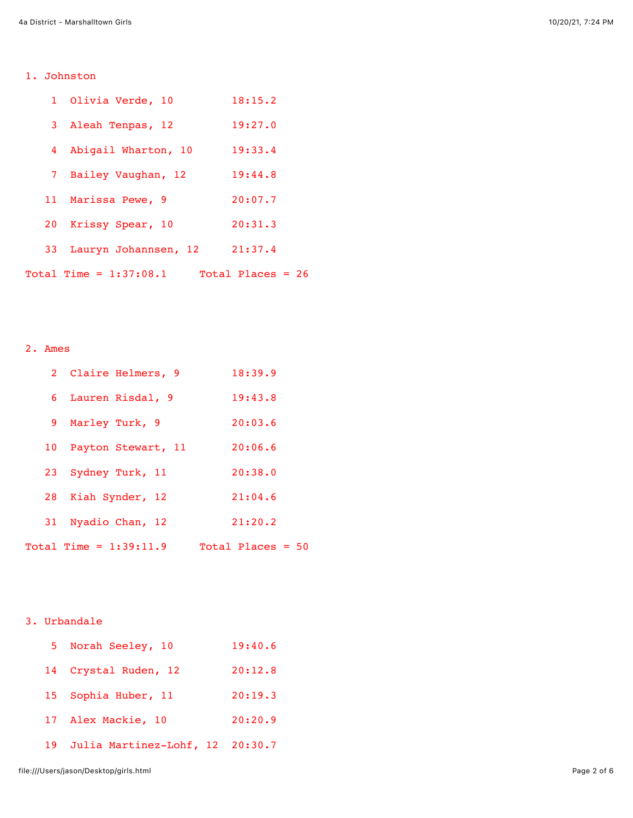## 1. Johnston

|    | 1 Olivia Verde, 10                              | 18:15.2 |
|----|-------------------------------------------------|---------|
|    | 3 Aleah Tenpas, 12                              | 19:27.0 |
|    | 4 Abigail Wharton, 10                           | 19:33.4 |
|    | 7 Bailey Vaughan, 12                            | 19:44.8 |
|    | 11 Marissa Pewe, 9                              | 20:07.7 |
| 20 | Krissy Spear, 10                                | 20:31.3 |
|    | 33 Lauryn Johannsen, 12                         | 21:37.4 |
|    | Total Time = $1:37:08.1$ $~~$ Total Places = 26 |         |

## 2. Ames

| 2 Claire Helmers, 9      | 18:39.9             |
|--------------------------|---------------------|
| 6 Lauren Risdal, 9       | 19:43.8             |
| 9 Marley Turk, 9         | 20:03.6             |
| 10 Payton Stewart, 11    | 20:06.6             |
| 23 Sydney Turk, 11       | 20:38.0             |
| 28 Kiah Synder, 12       | 21:04.6             |
| 31 Nyadio Chan, 12       | 21:20.2             |
| $Total Time = 1:39:11.9$ | Total Places = $50$ |

### 3. Urbandale

|    | 5 Norah Seeley, 10              | 19:40.6 |
|----|---------------------------------|---------|
| 14 | Crystal Ruden, 12               | 20:12.8 |
| 15 | Sophia Huber, 11                | 20:19.3 |
|    | 17 Alex Mackie, 10              | 20:20.9 |
| 19 | Julia Martinez-Lohf, 12 20:30.7 |         |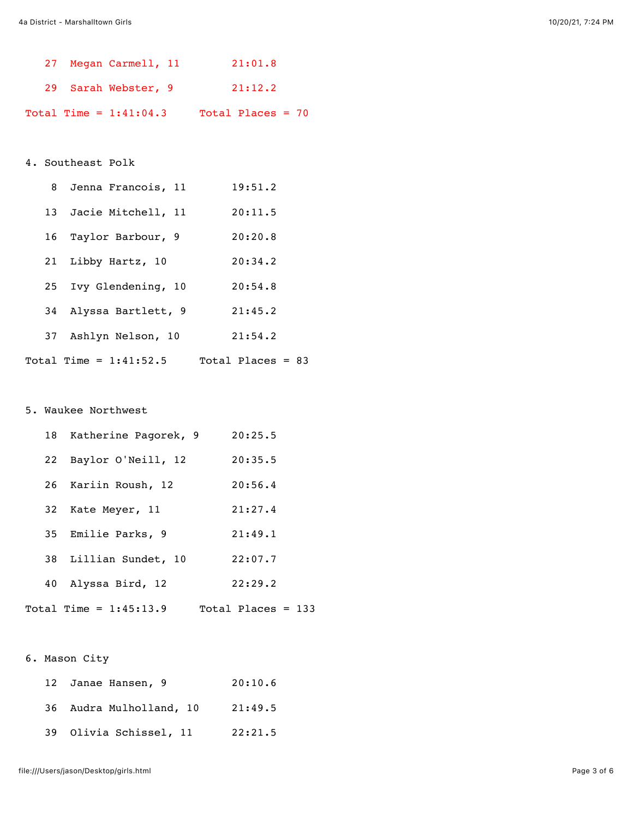|  | 27 Megan Carmell, 11     |  | 21:01.8             |  |
|--|--------------------------|--|---------------------|--|
|  | 29 Sarah Webster, 9      |  | 21:12.2             |  |
|  | Total Time = $1:41:04.3$ |  | Total Places = $70$ |  |

#### 4. Southeast Polk

|    | 8 Jenna Francois, 11     | 19:51.2             |
|----|--------------------------|---------------------|
|    | 13 Jacie Mitchell, 11    | 20:11.5             |
|    | 16 Taylor Barbour, 9     | 20:20.8             |
| 21 | Libby Hartz, 10          | 20:34.2             |
| 25 | Ivy Glendening, 10       | 20:54.8             |
| 34 | Alyssa Bartlett, 9       | 21:45.2             |
| 37 | Ashlyn Nelson, 10        | 21:54.2             |
|    | Total Time = $1:41:52.5$ | Total Places = $83$ |

#### 5. Waukee Northwest

|    | 18 Katherine Pagorek, 9  | 20:25.5              |  |
|----|--------------------------|----------------------|--|
| 22 | Baylor O'Neill, 12       | 20:35.5              |  |
|    | 26 Kariin Roush, 12      | 20:56.4              |  |
| 32 | Kate Meyer, 11           | 21:27.4              |  |
| 35 | Emilie Parks, 9          | 21:49.1              |  |
|    | 38 Lillian Sundet, 10    | 22:07.7              |  |
| 40 | Alyssa Bird, 12          | 22:29.2              |  |
|    | Total Time = $1:45:13.9$ | Total Places = $133$ |  |

#### 6. Mason City

| 12 Janae Hansen, 9      | 20:10.6 |
|-------------------------|---------|
| 36 Audra Mulholland, 10 | 21:49.5 |
| 39 Olivia Schissel, 11  | 22:21.5 |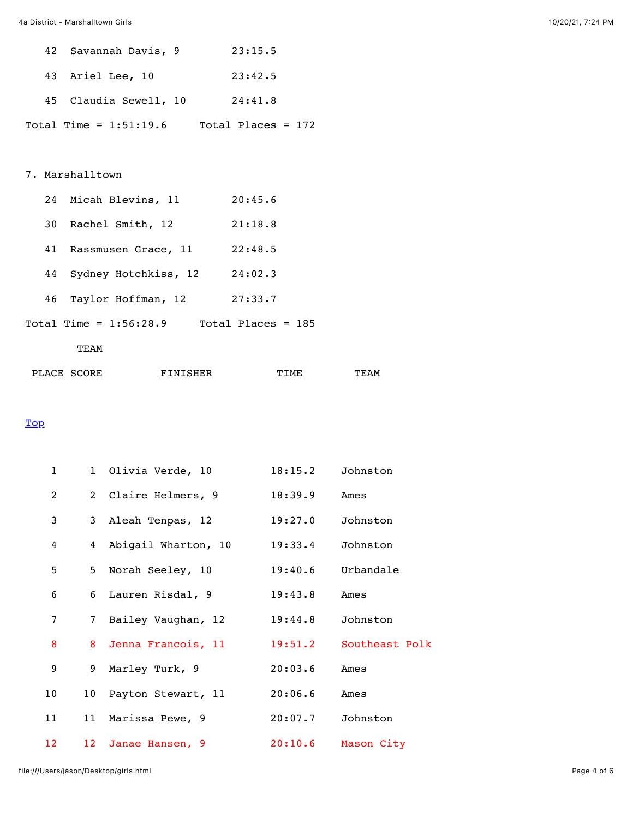| 42 Savannah Davis, 9     | 23:15.5              |
|--------------------------|----------------------|
| 43 Ariel Lee, 10         | 23:42.5              |
| 45 Claudia Sewell, 10    | 24:41.8              |
| Total Time = $1:51:19.6$ | Total Places = $172$ |

#### 7. Marshalltown

| 24 | Micah Blevins, 11        | 20:45.6              |
|----|--------------------------|----------------------|
| 30 | Rachel Smith, 12         | 21:18.8              |
| 41 | Rassmusen Grace, 11      | 22:48.5              |
| 44 | Sydney Hotchkiss, 12     | 24:02.3              |
| 46 | Taylor Hoffman, 12       | 27:33.7              |
|    | Total Time = $1:56:28.9$ | Total Places = $185$ |

#### TEAM

| PLACE SCORE | FINISHER | TTMF | TEAM |
|-------------|----------|------|------|
|             |          |      |      |

#### <span id="page-3-0"></span>**[Top](#page-0-0)**

| $\mathbf 1$    |                 | 1 Olivia Verde, 10  | 18:15.2 | Johnston       |
|----------------|-----------------|---------------------|---------|----------------|
| 2              |                 | 2 Claire Helmers, 9 | 18:39.9 | Ames           |
| 3              | 3 <sup>7</sup>  | Aleah Tenpas, 12    | 19:27.0 | Johnston       |
| 4              | 4               | Abigail Wharton, 10 | 19:33.4 | Johnston       |
| 5              | 5               | Norah Seeley, 10    | 19:40.6 | Urbandale      |
| 6              | 6               | Lauren Risdal, 9    | 19:43.8 | Ames           |
| $\overline{7}$ | $7\overline{ }$ | Bailey Vaughan, 12  | 19:44.8 | Johnston       |
| 8              | 8               | Jenna Francois, 11  | 19:51.2 | Southeast Polk |
| 9              | 9               | Marley Turk, 9      | 20:03.6 | Ames           |
| 10             | 10 <sup>°</sup> | Payton Stewart, 11  | 20:06.6 | Ames           |
| 11             | 11              | Marissa Pewe, 9     | 20:07.7 | Johnston       |
| 12             | 12 <sup>°</sup> | Janae Hansen, 9     | 20:10.6 | Mason City     |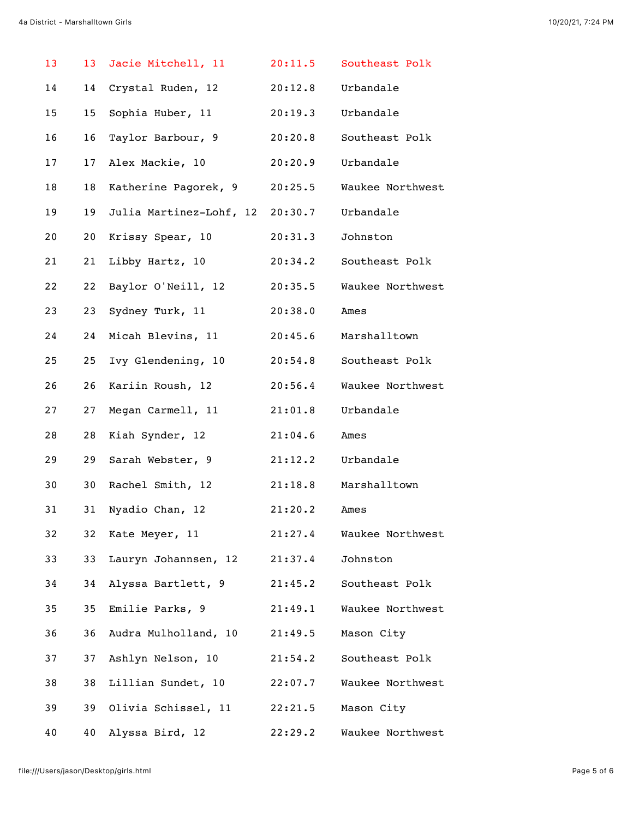| 13 | 13 <sup>°</sup> | Jacie Mitchell, 11              | 20:11.5 | Southeast Polk   |
|----|-----------------|---------------------------------|---------|------------------|
| 14 | 14              | Crystal Ruden, 12               | 20:12.8 | Urbandale        |
| 15 | 15              | Sophia Huber, 11                | 20:19.3 | Urbandale        |
| 16 | 16              | Taylor Barbour, 9               | 20:20.8 | Southeast Polk   |
| 17 | 17              | Alex Mackie, 10                 | 20:20.9 | Urbandale        |
| 18 | 18              | Katherine Pagorek, 9            | 20:25.5 | Waukee Northwest |
| 19 | 19              | Julia Martinez-Lohf, 12 20:30.7 |         | Urbandale        |
| 20 | 20              | Krissy Spear, 10                | 20:31.3 | Johnston         |
| 21 | 21              | Libby Hartz, 10                 | 20:34.2 | Southeast Polk   |
| 22 | 22              | Baylor O'Neill, 12              | 20:35.5 | Waukee Northwest |
| 23 | 23              | Sydney Turk, 11                 | 20:38.0 | Ames             |
| 24 | 24              | Micah Blevins, 11               | 20:45.6 | Marshalltown     |
| 25 | 25              | Ivy Glendening, 10              | 20:54.8 | Southeast Polk   |
| 26 | 26              | Kariin Roush, 12                | 20:56.4 | Waukee Northwest |
| 27 | 27              | Megan Carmell, 11               | 21:01.8 | Urbandale        |
| 28 | 28              | Kiah Synder, 12                 | 21:04.6 | Ames             |
| 29 | 29              | Sarah Webster, 9                | 21:12.2 | Urbandale        |
| 30 | 30              | Rachel Smith, 12                | 21:18.8 | Marshalltown     |
| 31 | 31              | Nyadio Chan, 12                 | 21:20.2 | Ames             |
| 32 | 32              | Kate Meyer, 11                  | 21:27.4 | Waukee Northwest |
| 33 | 33              | Lauryn Johannsen, 12            | 21:37.4 | Johnston         |
| 34 | 34              | Alyssa Bartlett, 9              | 21:45.2 | Southeast Polk   |
| 35 | 35              | Emilie Parks, 9                 | 21:49.1 | Waukee Northwest |
| 36 | 36              | Audra Mulholland, 10            | 21:49.5 | Mason City       |
| 37 | 37              | Ashlyn Nelson, 10               | 21:54.2 | Southeast Polk   |
| 38 | 38              | Lillian Sundet, 10              | 22:07.7 | Waukee Northwest |
| 39 | 39              | Olivia Schissel, 11             | 22:21.5 | Mason City       |
| 40 | 40              | Alyssa Bird, 12                 | 22:29.2 | Waukee Northwest |